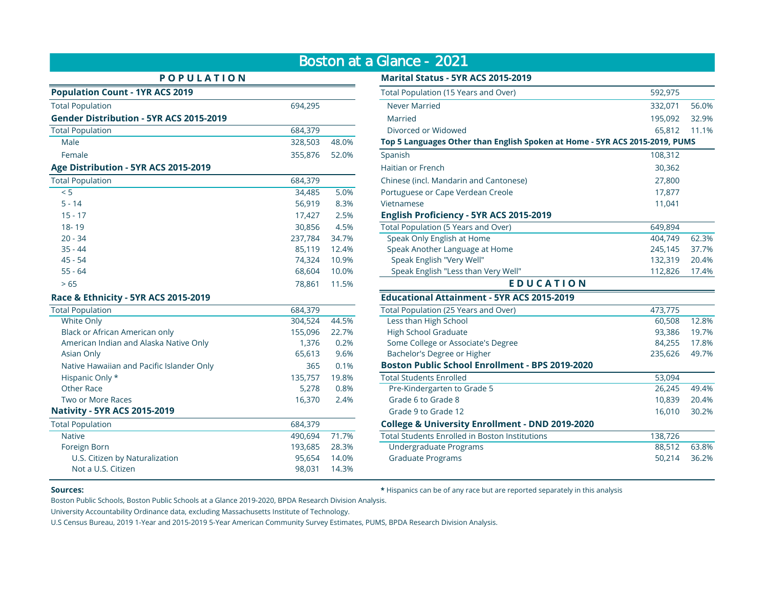|                                           |         |       | Boston at a Glance - 2021                                                 |         |  |
|-------------------------------------------|---------|-------|---------------------------------------------------------------------------|---------|--|
| <b>POPULATION</b>                         |         |       | <b>Marital Status - 5YR ACS 2015-2019</b>                                 |         |  |
| <b>Population Count - 1YR ACS 2019</b>    |         |       | Total Population (15 Years and Over)                                      | 592,975 |  |
| <b>Total Population</b>                   | 694,295 |       | <b>Never Married</b>                                                      | 332,071 |  |
| Gender Distribution - 5YR ACS 2015-2019   |         |       | Married                                                                   | 195,092 |  |
| <b>Total Population</b>                   | 684.379 |       | Divorced or Widowed                                                       | 65,812  |  |
| Male                                      | 328,503 | 48.0% | Top 5 Languages Other than English Spoken at Home - 5YR ACS 2015-2019, PI |         |  |
| Female                                    | 355,876 | 52.0% | Spanish                                                                   | 108,312 |  |
| Age Distribution - 5YR ACS 2015-2019      |         |       | Haitian or French                                                         | 30,362  |  |
| <b>Total Population</b>                   | 684,379 |       | Chinese (incl. Mandarin and Cantonese)                                    | 27,800  |  |
| < 5                                       | 34,485  | 5.0%  | Portuguese or Cape Verdean Creole                                         | 17,877  |  |
| $5 - 14$                                  | 56,919  | 8.3%  | Vietnamese                                                                | 11,041  |  |
| $15 - 17$                                 | 17,427  | 2.5%  | English Proficiency - 5YR ACS 2015-2019                                   |         |  |
| 18-19                                     | 30,856  | 4.5%  | Total Population (5 Years and Over)                                       | 649,894 |  |
| $20 - 34$                                 | 237,784 | 34.7% | Speak Only English at Home                                                | 404,749 |  |
| $35 - 44$                                 | 85,119  | 12.4% | Speak Another Language at Home                                            | 245,145 |  |
| $45 - 54$                                 | 74,324  | 10.9% | Speak English "Very Well"                                                 | 132,319 |  |
| $55 - 64$                                 | 68,604  | 10.0% | Speak English "Less than Very Well"                                       | 112,826 |  |
| > 65                                      | 78,861  | 11.5% | <b>EDUCATION</b>                                                          |         |  |
| Race & Ethnicity - 5YR ACS 2015-2019      |         |       | <b>Educational Attainment - 5YR ACS 2015-2019</b>                         |         |  |
| <b>Total Population</b>                   | 684,379 |       | Total Population (25 Years and Over)                                      | 473,775 |  |
| White Only                                | 304,524 | 44.5% | Less than High School                                                     | 60,508  |  |
| Black or African American only            | 155,096 | 22.7% | <b>High School Graduate</b>                                               | 93,386  |  |
| American Indian and Alaska Native Only    | 1,376   | 0.2%  | Some College or Associate's Degree                                        | 84,255  |  |
| Asian Only                                | 65,613  | 9.6%  | Bachelor's Degree or Higher                                               | 235,626 |  |
| Native Hawaiian and Pacific Islander Only | 365     | 0.1%  | <b>Boston Public School Enrollment - BPS 2019-2020</b>                    |         |  |
| Hispanic Only *                           | 135,757 | 19.8% | <b>Total Students Enrolled</b>                                            | 53,094  |  |
| Other Race                                | 5,278   | 0.8%  | Pre-Kindergarten to Grade 5                                               | 26,245  |  |
| Two or More Races                         | 16,370  | 2.4%  | Grade 6 to Grade 8                                                        | 10,839  |  |
| <b>Nativity - 5YR ACS 2015-2019</b>       |         |       | Grade 9 to Grade 12                                                       | 16,010  |  |
| <b>Total Population</b>                   | 684,379 |       | <b>College &amp; University Enrollment - DND 2019-2020</b>                |         |  |
| <b>Native</b>                             | 490,694 | 71.7% | <b>Total Students Enrolled in Boston Institutions</b>                     | 138,726 |  |
| Foreign Born                              | 193,685 | 28.3% | Undergraduate Programs                                                    | 88,512  |  |
| U.S. Citizen by Naturalization            | 95,654  | 14.0% | <b>Graduate Programs</b>                                                  | 50,214  |  |
| Not a U.S. Citizen                        | 98,031  | 14.3% |                                                                           |         |  |

| Boston at a Glance - 2021                                                                                                                                                                                                                                                                                                          |                |       |                                                                             |         |       |  |
|------------------------------------------------------------------------------------------------------------------------------------------------------------------------------------------------------------------------------------------------------------------------------------------------------------------------------------|----------------|-------|-----------------------------------------------------------------------------|---------|-------|--|
| <b>POPULATION</b>                                                                                                                                                                                                                                                                                                                  |                |       | Marital Status - 5YR ACS 2015-2019                                          |         |       |  |
| <b>Population Count - 1YR ACS 2019</b>                                                                                                                                                                                                                                                                                             |                |       | Total Population (15 Years and Over)                                        | 592,975 |       |  |
| <b>Total Population</b>                                                                                                                                                                                                                                                                                                            | 694,295        |       | <b>Never Married</b>                                                        | 332,071 | 56.0% |  |
| Gender Distribution - 5YR ACS 2015-2019                                                                                                                                                                                                                                                                                            |                |       | Married                                                                     | 195,092 | 32.9% |  |
| <b>Total Population</b>                                                                                                                                                                                                                                                                                                            | 684,379        |       | Divorced or Widowed                                                         | 65,812  | 11.1% |  |
| Male                                                                                                                                                                                                                                                                                                                               | 328,503        | 48.0% | Top 5 Languages Other than English Spoken at Home - 5YR ACS 2015-2019, PUMS |         |       |  |
| Female                                                                                                                                                                                                                                                                                                                             | 355,876        | 52.0% | Spanish                                                                     | 108,312 |       |  |
| <b>Age Distribution - 5YR ACS 2015-2019</b>                                                                                                                                                                                                                                                                                        |                |       | Haitian or French                                                           | 30,362  |       |  |
| <b>Total Population</b>                                                                                                                                                                                                                                                                                                            | 684,379        |       | Chinese (incl. Mandarin and Cantonese)                                      | 27,800  |       |  |
| < 5                                                                                                                                                                                                                                                                                                                                | 34,485         | 5.0%  | Portuguese or Cape Verdean Creole                                           | 17,877  |       |  |
| $5 - 14$                                                                                                                                                                                                                                                                                                                           | 56,919         | 8.3%  | Vietnamese                                                                  | 11,041  |       |  |
| $15 - 17$                                                                                                                                                                                                                                                                                                                          | 17,427         | 2.5%  | English Proficiency - 5YR ACS 2015-2019                                     |         |       |  |
| $18 - 19$                                                                                                                                                                                                                                                                                                                          | 30,856         | 4.5%  | Total Population (5 Years and Over)                                         | 649,894 |       |  |
| $20 - 34$                                                                                                                                                                                                                                                                                                                          | 237,784        | 34.7% | Speak Only English at Home                                                  | 404,749 | 62.3% |  |
| $35 - 44$                                                                                                                                                                                                                                                                                                                          | 85,119         | 12.4% | Speak Another Language at Home                                              | 245,145 | 37.7% |  |
| $45 - 54$                                                                                                                                                                                                                                                                                                                          | 74,324         | 10.9% | Speak English "Very Well"                                                   | 132,319 | 20.4% |  |
| $55 - 64$                                                                                                                                                                                                                                                                                                                          | 68,604         | 10.0% | Speak English "Less than Very Well"                                         | 112,826 | 17.4% |  |
| >65                                                                                                                                                                                                                                                                                                                                | 78,861         | 11.5% | <b>EDUCATION</b>                                                            |         |       |  |
| Race & Ethnicity - 5YR ACS 2015-2019                                                                                                                                                                                                                                                                                               |                |       | <b>Educational Attainment - 5YR ACS 2015-2019</b>                           |         |       |  |
| <b>Total Population</b>                                                                                                                                                                                                                                                                                                            | 684,379        |       | Total Population (25 Years and Over)                                        | 473.775 |       |  |
| White Only                                                                                                                                                                                                                                                                                                                         | 304.524        | 44.5% | Less than High School                                                       | 60,508  | 12.8% |  |
| <b>Black or African American only</b>                                                                                                                                                                                                                                                                                              | 155,096        | 22.7% | <b>High School Graduate</b>                                                 | 93,386  | 19.7% |  |
| American Indian and Alaska Native Only                                                                                                                                                                                                                                                                                             | 1,376          | 0.2%  | Some College or Associate's Degree                                          | 84,255  | 17.8% |  |
| Asian Only                                                                                                                                                                                                                                                                                                                         | 65,613         | 9.6%  | Bachelor's Degree or Higher                                                 | 235,626 | 49.7% |  |
| Native Hawaiian and Pacific Islander Only                                                                                                                                                                                                                                                                                          | 365            | 0.1%  | <b>Boston Public School Enrollment - BPS 2019-2020</b>                      |         |       |  |
| Hispanic Only *                                                                                                                                                                                                                                                                                                                    | 135,757        | 19.8% | <b>Total Students Enrolled</b>                                              | 53,094  |       |  |
| Other Race                                                                                                                                                                                                                                                                                                                         | 5,278          | 0.8%  | Pre-Kindergarten to Grade 5                                                 | 26,245  | 49.4% |  |
| Two or More Races                                                                                                                                                                                                                                                                                                                  | 16,370         | 2.4%  | Grade 6 to Grade 8                                                          | 10,839  | 20.4% |  |
| <b>Nativity - 5YR ACS 2015-2019</b>                                                                                                                                                                                                                                                                                                |                |       | Grade 9 to Grade 12                                                         | 16,010  | 30.2% |  |
| <b>Total Population</b>                                                                                                                                                                                                                                                                                                            | 684,379        |       | College & University Enrollment - DND 2019-2020                             |         |       |  |
| <b>Native</b>                                                                                                                                                                                                                                                                                                                      | 490,694        | 71.7% | <b>Total Students Enrolled in Boston Institutions</b>                       | 138,726 |       |  |
| Foreign Born                                                                                                                                                                                                                                                                                                                       | 193,685        | 28.3% | Undergraduate Programs                                                      | 88,512  | 63.8% |  |
| U.S. Citizen by Naturalization                                                                                                                                                                                                                                                                                                     | 95,654         | 14.0% | <b>Graduate Programs</b>                                                    | 50,214  | 36.2% |  |
| $\mathbf{A}$ $\mathbf{A}$ $\mathbf{A}$ $\mathbf{A}$ $\mathbf{A}$ $\mathbf{A}$ $\mathbf{A}$ $\mathbf{A}$ $\mathbf{A}$ $\mathbf{A}$ $\mathbf{A}$ $\mathbf{A}$ $\mathbf{A}$ $\mathbf{A}$ $\mathbf{A}$ $\mathbf{A}$ $\mathbf{A}$ $\mathbf{A}$ $\mathbf{A}$ $\mathbf{A}$ $\mathbf{A}$ $\mathbf{A}$ $\mathbf{A}$ $\mathbf{A}$ $\mathbf{$ | $0.001 - 4101$ |       |                                                                             |         |       |  |

## **Sources: \* Hispanics can be of any race but are reported separately in this analysis**

Boston Public Schools, Boston Public Schools at a Glance 2019-2020, BPDA Research Division Analysis.

University Accountability Ordinance data, excluding Massachusetts Institute of Technology.

U.S Census Bureau, 2019 1-Year and 2015-2019 5-Year American Community Survey Estimates, PUMS, BPDA Research Division Analysis.